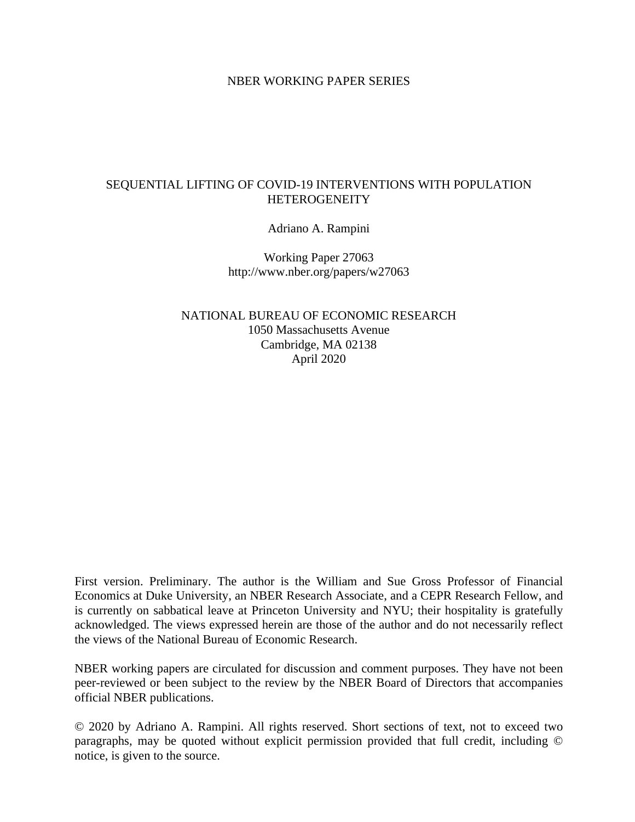#### NBER WORKING PAPER SERIES

### SEQUENTIAL LIFTING OF COVID-19 INTERVENTIONS WITH POPULATION **HETEROGENEITY**

Adriano A. Rampini

Working Paper 27063 http://www.nber.org/papers/w27063

NATIONAL BUREAU OF ECONOMIC RESEARCH 1050 Massachusetts Avenue Cambridge, MA 02138 April 2020

First version. Preliminary. The author is the William and Sue Gross Professor of Financial Economics at Duke University, an NBER Research Associate, and a CEPR Research Fellow, and is currently on sabbatical leave at Princeton University and NYU; their hospitality is gratefully acknowledged. The views expressed herein are those of the author and do not necessarily reflect the views of the National Bureau of Economic Research.

NBER working papers are circulated for discussion and comment purposes. They have not been peer-reviewed or been subject to the review by the NBER Board of Directors that accompanies official NBER publications.

© 2020 by Adriano A. Rampini. All rights reserved. Short sections of text, not to exceed two paragraphs, may be quoted without explicit permission provided that full credit, including © notice, is given to the source.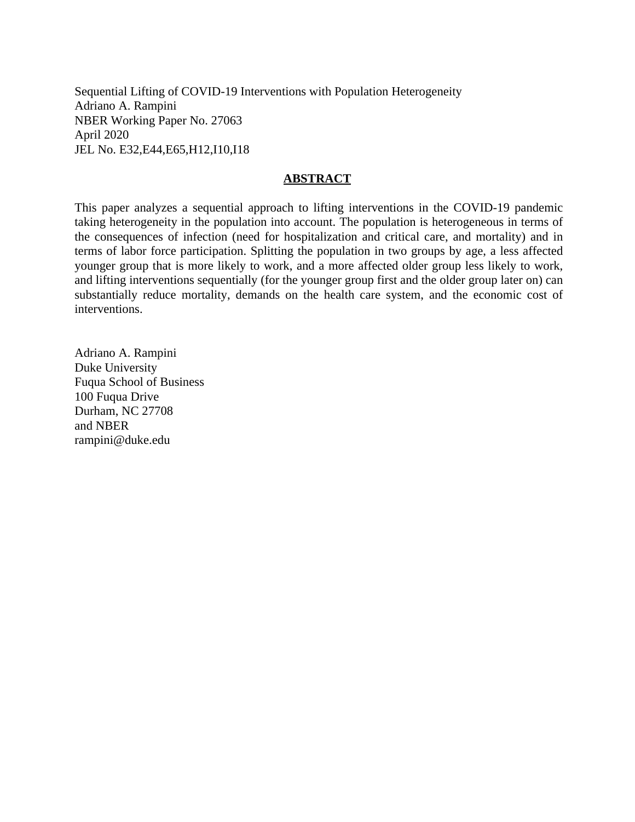Sequential Lifting of COVID-19 Interventions with Population Heterogeneity Adriano A. Rampini NBER Working Paper No. 27063 April 2020 JEL No. E32,E44,E65,H12,I10,I18

### **ABSTRACT**

This paper analyzes a sequential approach to lifting interventions in the COVID-19 pandemic taking heterogeneity in the population into account. The population is heterogeneous in terms of the consequences of infection (need for hospitalization and critical care, and mortality) and in terms of labor force participation. Splitting the population in two groups by age, a less affected younger group that is more likely to work, and a more affected older group less likely to work, and lifting interventions sequentially (for the younger group first and the older group later on) can substantially reduce mortality, demands on the health care system, and the economic cost of interventions.

Adriano A. Rampini Duke University Fuqua School of Business 100 Fuqua Drive Durham, NC 27708 and NBER rampini@duke.edu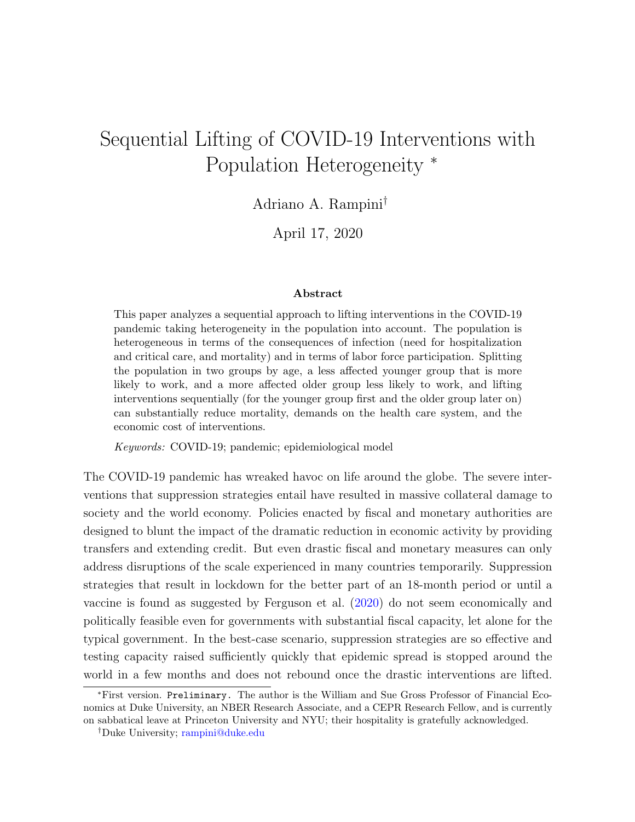# <span id="page-2-0"></span>Sequential Lifting of COVID-19 Interventions with Population Heterogeneity <sup>∗</sup>

Adriano A. Rampini†

April 17, 2020

#### Abstract

This paper analyzes a sequential approach to lifting interventions in the COVID-19 pandemic taking heterogeneity in the population into account. The population is heterogeneous in terms of the consequences of infection (need for hospitalization and critical care, and mortality) and in terms of labor force participation. Splitting the population in two groups by age, a less affected younger group that is more likely to work, and a more affected older group less likely to work, and lifting interventions sequentially (for the younger group first and the older group later on) can substantially reduce mortality, demands on the health care system, and the economic cost of interventions.

Keywords: COVID-19; pandemic; epidemiological model

The COVID-19 pandemic has wreaked havoc on life around the globe. The severe interventions that suppression strategies entail have resulted in massive collateral damage to society and the world economy. Policies enacted by fiscal and monetary authorities are designed to blunt the impact of the dramatic reduction in economic activity by providing transfers and extending credit. But even drastic fiscal and monetary measures can only address disruptions of the scale experienced in many countries temporarily. Suppression strategies that result in lockdown for the better part of an 18-month period or until a vaccine is found as suggested by Ferguson et al. [\(2020\)](#page-14-0) do not seem economically and politically feasible even for governments with substantial fiscal capacity, let alone for the typical government. In the best-case scenario, suppression strategies are so effective and testing capacity raised sufficiently quickly that epidemic spread is stopped around the world in a few months and does not rebound once the drastic interventions are lifted.

<sup>∗</sup>First version. Preliminary. The author is the William and Sue Gross Professor of Financial Economics at Duke University, an NBER Research Associate, and a CEPR Research Fellow, and is currently on sabbatical leave at Princeton University and NYU; their hospitality is gratefully acknowledged.

<sup>†</sup>Duke University; [rampini@duke.edu](mailto:rampini@duke.edu)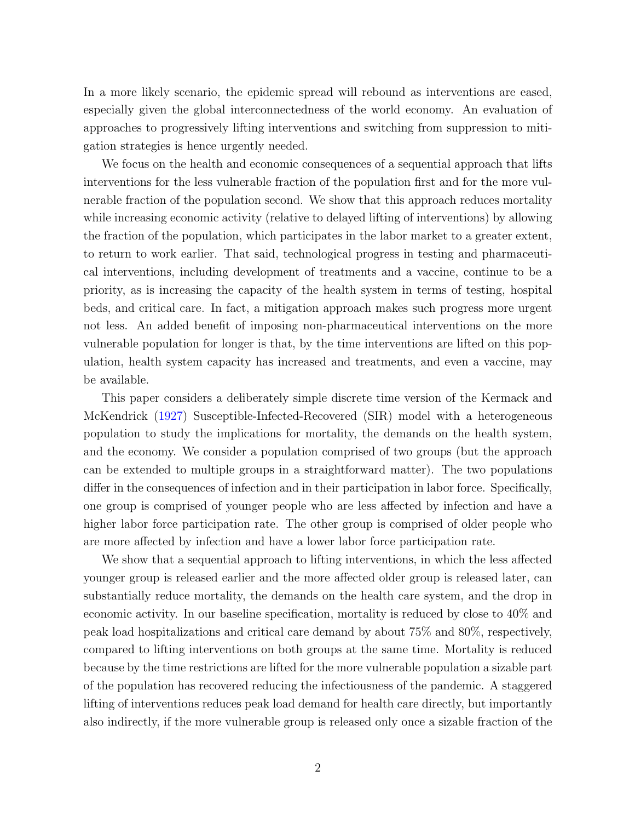In a more likely scenario, the epidemic spread will rebound as interventions are eased, especially given the global interconnectedness of the world economy. An evaluation of approaches to progressively lifting interventions and switching from suppression to mitigation strategies is hence urgently needed.

We focus on the health and economic consequences of a sequential approach that lifts interventions for the less vulnerable fraction of the population first and for the more vulnerable fraction of the population second. We show that this approach reduces mortality while increasing economic activity (relative to delayed lifting of interventions) by allowing the fraction of the population, which participates in the labor market to a greater extent, to return to work earlier. That said, technological progress in testing and pharmaceutical interventions, including development of treatments and a vaccine, continue to be a priority, as is increasing the capacity of the health system in terms of testing, hospital beds, and critical care. In fact, a mitigation approach makes such progress more urgent not less. An added benefit of imposing non-pharmaceutical interventions on the more vulnerable population for longer is that, by the time interventions are lifted on this population, health system capacity has increased and treatments, and even a vaccine, may be available.

This paper considers a deliberately simple discrete time version of the Kermack and McKendrick [\(1927\)](#page-14-1) Susceptible-Infected-Recovered (SIR) model with a heterogeneous population to study the implications for mortality, the demands on the health system, and the economy. We consider a population comprised of two groups (but the approach can be extended to multiple groups in a straightforward matter). The two populations differ in the consequences of infection and in their participation in labor force. Specifically, one group is comprised of younger people who are less affected by infection and have a higher labor force participation rate. The other group is comprised of older people who are more affected by infection and have a lower labor force participation rate.

We show that a sequential approach to lifting interventions, in which the less affected younger group is released earlier and the more affected older group is released later, can substantially reduce mortality, the demands on the health care system, and the drop in economic activity. In our baseline specification, mortality is reduced by close to 40% and peak load hospitalizations and critical care demand by about 75% and 80%, respectively, compared to lifting interventions on both groups at the same time. Mortality is reduced because by the time restrictions are lifted for the more vulnerable population a sizable part of the population has recovered reducing the infectiousness of the pandemic. A staggered lifting of interventions reduces peak load demand for health care directly, but importantly also indirectly, if the more vulnerable group is released only once a sizable fraction of the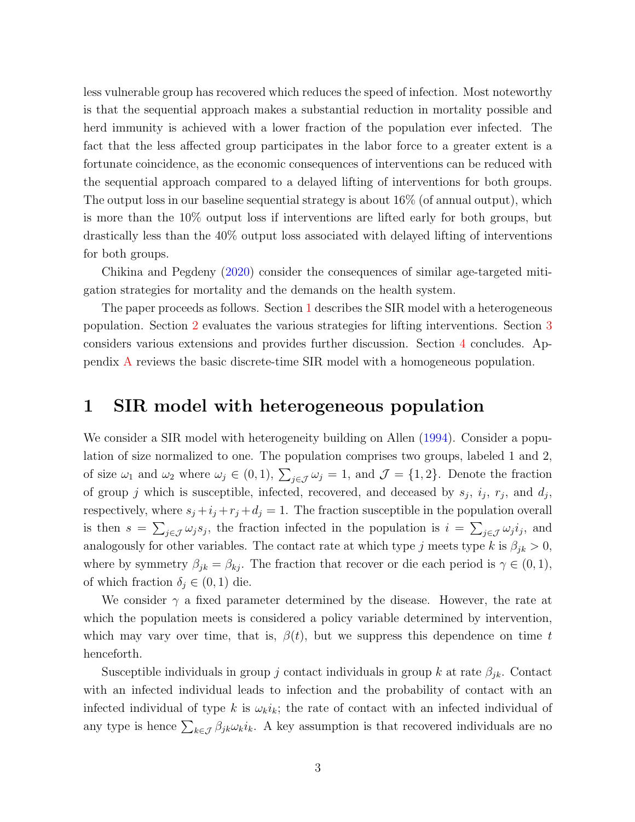less vulnerable group has recovered which reduces the speed of infection. Most noteworthy is that the sequential approach makes a substantial reduction in mortality possible and herd immunity is achieved with a lower fraction of the population ever infected. The fact that the less affected group participates in the labor force to a greater extent is a fortunate coincidence, as the economic consequences of interventions can be reduced with the sequential approach compared to a delayed lifting of interventions for both groups. The output loss in our baseline sequential strategy is about 16% (of annual output), which is more than the 10% output loss if interventions are lifted early for both groups, but drastically less than the 40% output loss associated with delayed lifting of interventions for both groups.

Chikina and Pegdeny [\(2020\)](#page-14-2) consider the consequences of similar age-targeted mitigation strategies for mortality and the demands on the health system.

The paper proceeds as follows. Section [1](#page-4-0) describes the SIR model with a heterogeneous population. Section [2](#page-6-0) evaluates the various strategies for lifting interventions. Section [3](#page-11-0) considers various extensions and provides further discussion. Section [4](#page-13-0) concludes. Appendix [A](#page-21-0) reviews the basic discrete-time SIR model with a homogeneous population.

## <span id="page-4-0"></span>1 SIR model with heterogeneous population

We consider a SIR model with heterogeneity building on Allen [\(1994\)](#page-14-3). Consider a population of size normalized to one. The population comprises two groups, labeled 1 and 2, of size  $\omega_1$  and  $\omega_2$  where  $\omega_j \in (0,1)$ ,  $\sum_{j\in\mathcal{J}} \omega_j = 1$ , and  $\mathcal{J} = \{1,2\}$ . Denote the fraction of group j which is susceptible, infected, recovered, and deceased by  $s_j$ ,  $i_j$ ,  $r_j$ , and  $d_j$ , respectively, where  $s_j + i_j + r_j + d_j = 1$ . The fraction susceptible in the population overall is then  $s = \sum_{j \in \mathcal{J}} \omega_j s_j$ , the fraction infected in the population is  $i = \sum_{j \in \mathcal{J}} \omega_j i_j$ , and analogously for other variables. The contact rate at which type j meets type k is  $\beta_{jk} > 0$ , where by symmetry  $\beta_{jk} = \beta_{kj}$ . The fraction that recover or die each period is  $\gamma \in (0,1)$ , of which fraction  $\delta_i \in (0,1)$  die.

We consider  $\gamma$  a fixed parameter determined by the disease. However, the rate at which the population meets is considered a policy variable determined by intervention, which may vary over time, that is,  $\beta(t)$ , but we suppress this dependence on time t henceforth.

Susceptible individuals in group j contact individuals in group k at rate  $\beta_{jk}$ . Contact with an infected individual leads to infection and the probability of contact with an infected individual of type k is  $\omega_k i_k$ ; the rate of contact with an infected individual of any type is hence  $\sum_{k\in\mathcal{J}} \beta_{jk}\omega_k i_k$ . A key assumption is that recovered individuals are no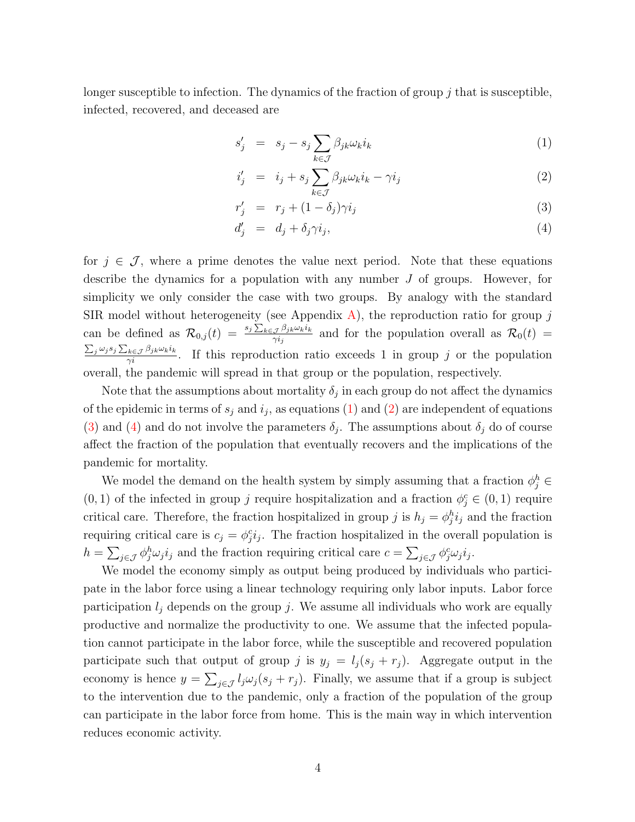longer susceptible to infection. The dynamics of the fraction of group  $i$  that is susceptible, infected, recovered, and deceased are

<span id="page-5-0"></span>
$$
s'_{j} = s_{j} - s_{j} \sum_{k \in \mathcal{J}} \beta_{jk} \omega_{k} i_{k} \tag{1}
$$

$$
i'_j = i_j + s_j \sum_{k \in \mathcal{J}} \beta_{jk} \omega_k i_k - \gamma i_j \tag{2}
$$

$$
r'_j = r_j + (1 - \delta_j)\gamma i_j \tag{3}
$$

$$
d'_{j} = d_{j} + \delta_{j}\gamma i_{j}, \qquad (4)
$$

for  $j \in \mathcal{J}$ , where a prime denotes the value next period. Note that these equations describe the dynamics for a population with any number J of groups. However, for simplicity we only consider the case with two groups. By analogy with the standard SIR model without heterogeneity (see Appendix [A\)](#page-21-0), the reproduction ratio for group  $j$ can be defined as  $\mathcal{R}_{0,j}(t) = \frac{s_j \sum_{k \in \mathcal{J}} \beta_{jk} \omega_k i_k}{\gamma_i}$  $\frac{\partial \mathcal{P}_{jk}\omega_k v_k}{\partial \gamma_{ij}}$  and for the population overall as  $\mathcal{R}_0(t) =$  $\frac{\sum_j \omega_j s_j \sum_{k \in \mathcal{J}} \beta_{jk} \omega_k i_k}{\gamma_i}$ . If this reproduction ratio exceeds 1 in group j or the population overall, the pandemic will spread in that group or the population, respectively.

Note that the assumptions about mortality  $\delta_j$  in each group do not affect the dynamics of the epidemic in terms of  $s_j$  and  $i_j$ , as equations [\(1\)](#page-5-0) and [\(2\)](#page-5-0) are independent of equations [\(3\)](#page-5-0) and [\(4\)](#page-5-0) and do not involve the parameters  $\delta_j$ . The assumptions about  $\delta_j$  do of course affect the fraction of the population that eventually recovers and the implications of the pandemic for mortality.

We model the demand on the health system by simply assuming that a fraction  $\phi_j^h \in$  $(0, 1)$  of the infected in group j require hospitalization and a fraction  $\phi_j^c \in (0, 1)$  require critical care. Therefore, the fraction hospitalized in group j is  $h_j = \phi_j^h i_j$  and the fraction requiring critical care is  $c_j = \phi_j^c i_j$ . The fraction hospitalized in the overall population is  $h = \sum_{j \in \mathcal{J}} \phi_j^h \omega_j i_j$  and the fraction requiring critical care  $c = \sum_{j \in \mathcal{J}} \phi_j^c \omega_j i_j$ .

We model the economy simply as output being produced by individuals who participate in the labor force using a linear technology requiring only labor inputs. Labor force participation  $l_j$  depends on the group j. We assume all individuals who work are equally productive and normalize the productivity to one. We assume that the infected population cannot participate in the labor force, while the susceptible and recovered population participate such that output of group j is  $y_j = l_j (s_j + r_j)$ . Aggregate output in the economy is hence  $y = \sum_{j \in \mathcal{J}} l_j \omega_j (s_j + r_j)$ . Finally, we assume that if a group is subject to the intervention due to the pandemic, only a fraction of the population of the group can participate in the labor force from home. This is the main way in which intervention reduces economic activity.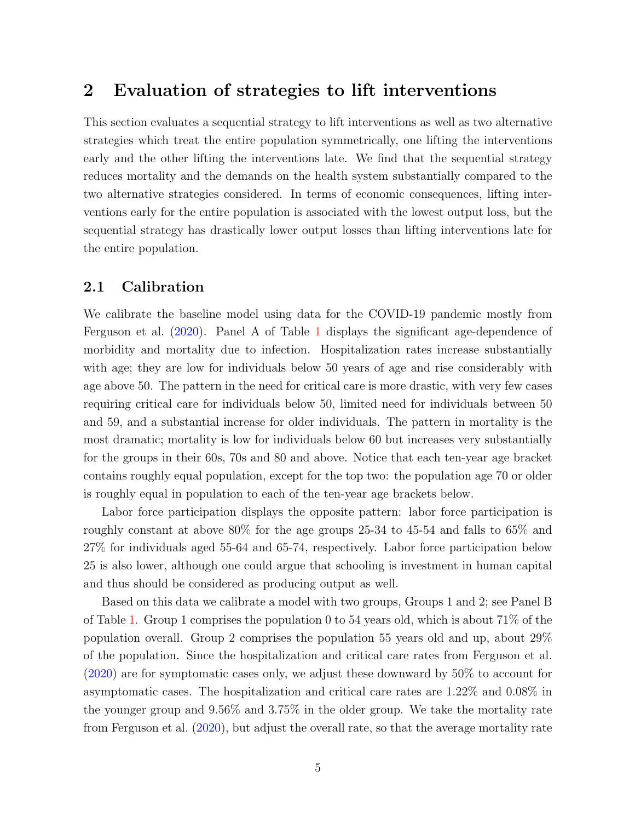## <span id="page-6-0"></span>2 Evaluation of strategies to lift interventions

This section evaluates a sequential strategy to lift interventions as well as two alternative strategies which treat the entire population symmetrically, one lifting the interventions early and the other lifting the interventions late. We find that the sequential strategy reduces mortality and the demands on the health system substantially compared to the two alternative strategies considered. In terms of economic consequences, lifting interventions early for the entire population is associated with the lowest output loss, but the sequential strategy has drastically lower output losses than lifting interventions late for the entire population.

### 2.1 Calibration

We calibrate the baseline model using data for the COVID-19 pandemic mostly from Ferguson et al. [\(2020\)](#page-14-0). Panel A of Table [1](#page-15-0) displays the significant age-dependence of morbidity and mortality due to infection. Hospitalization rates increase substantially with age; they are low for individuals below 50 years of age and rise considerably with age above 50. The pattern in the need for critical care is more drastic, with very few cases requiring critical care for individuals below 50, limited need for individuals between 50 and 59, and a substantial increase for older individuals. The pattern in mortality is the most dramatic; mortality is low for individuals below 60 but increases very substantially for the groups in their 60s, 70s and 80 and above. Notice that each ten-year age bracket contains roughly equal population, except for the top two: the population age 70 or older is roughly equal in population to each of the ten-year age brackets below.

Labor force participation displays the opposite pattern: labor force participation is roughly constant at above 80% for the age groups 25-34 to 45-54 and falls to 65% and 27% for individuals aged 55-64 and 65-74, respectively. Labor force participation below 25 is also lower, although one could argue that schooling is investment in human capital and thus should be considered as producing output as well.

Based on this data we calibrate a model with two groups, Groups 1 and 2; see Panel B of Table [1.](#page-15-0) Group 1 comprises the population 0 to 54 years old, which is about 71% of the population overall. Group 2 comprises the population 55 years old and up, about 29% of the population. Since the hospitalization and critical care rates from Ferguson et al. [\(2020\)](#page-14-0) are for symptomatic cases only, we adjust these downward by 50% to account for asymptomatic cases. The hospitalization and critical care rates are 1.22% and 0.08% in the younger group and 9.56% and 3.75% in the older group. We take the mortality rate from Ferguson et al. [\(2020\)](#page-14-0), but adjust the overall rate, so that the average mortality rate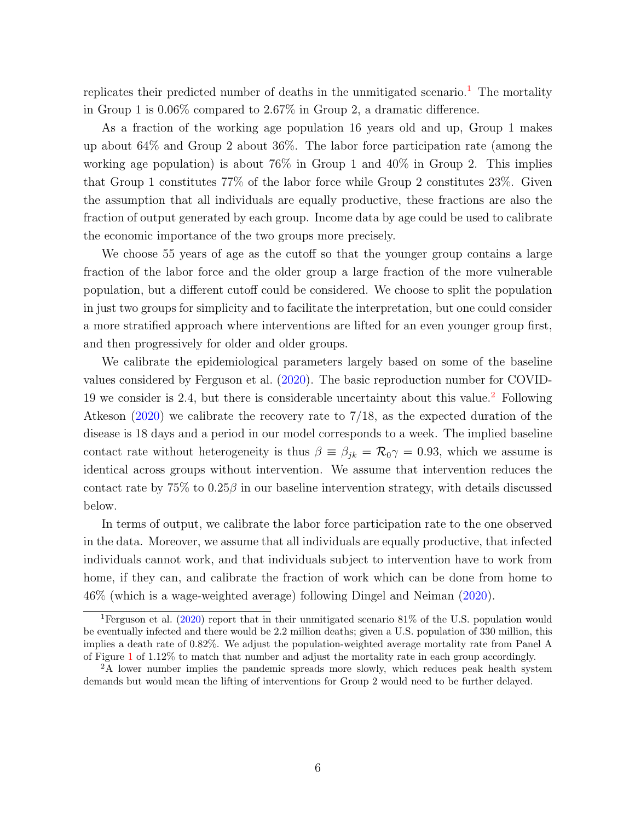replicates their predicted number of deaths in the unmitigated scenario.<sup>[1](#page-2-0)</sup> The mortality in Group 1 is 0.06% compared to 2.67% in Group 2, a dramatic difference.

As a fraction of the working age population 16 years old and up, Group 1 makes up about 64% and Group 2 about 36%. The labor force participation rate (among the working age population) is about 76% in Group 1 and 40% in Group 2. This implies that Group 1 constitutes 77% of the labor force while Group 2 constitutes 23%. Given the assumption that all individuals are equally productive, these fractions are also the fraction of output generated by each group. Income data by age could be used to calibrate the economic importance of the two groups more precisely.

We choose 55 years of age as the cutoff so that the younger group contains a large fraction of the labor force and the older group a large fraction of the more vulnerable population, but a different cutoff could be considered. We choose to split the population in just two groups for simplicity and to facilitate the interpretation, but one could consider a more stratified approach where interventions are lifted for an even younger group first, and then progressively for older and older groups.

We calibrate the epidemiological parameters largely based on some of the baseline values considered by Ferguson et al. [\(2020\)](#page-14-0). The basic reproduction number for COVID-19 we consider is [2](#page-2-0).4, but there is considerable uncertainty about this value.<sup>2</sup> Following Atkeson [\(2020\)](#page-14-4) we calibrate the recovery rate to 7/18, as the expected duration of the disease is 18 days and a period in our model corresponds to a week. The implied baseline contact rate without heterogeneity is thus  $\beta \equiv \beta_{ik} = \mathcal{R}_0 \gamma = 0.93$ , which we assume is identical across groups without intervention. We assume that intervention reduces the contact rate by  $75\%$  to  $0.25\beta$  in our baseline intervention strategy, with details discussed below.

In terms of output, we calibrate the labor force participation rate to the one observed in the data. Moreover, we assume that all individuals are equally productive, that infected individuals cannot work, and that individuals subject to intervention have to work from home, if they can, and calibrate the fraction of work which can be done from home to 46% (which is a wage-weighted average) following Dingel and Neiman [\(2020\)](#page-14-5).

<sup>&</sup>lt;sup>1</sup>Ferguson et al. [\(2020\)](#page-14-0) report that in their unmitigated scenario 81% of the U.S. population would be eventually infected and there would be 2.2 million deaths; given a U.S. population of 330 million, this implies a death rate of 0.82%. We adjust the population-weighted average mortality rate from Panel A of Figure [1](#page-15-0) of 1.12% to match that number and adjust the mortality rate in each group accordingly.

<sup>&</sup>lt;sup>2</sup>A lower number implies the pandemic spreads more slowly, which reduces peak health system demands but would mean the lifting of interventions for Group 2 would need to be further delayed.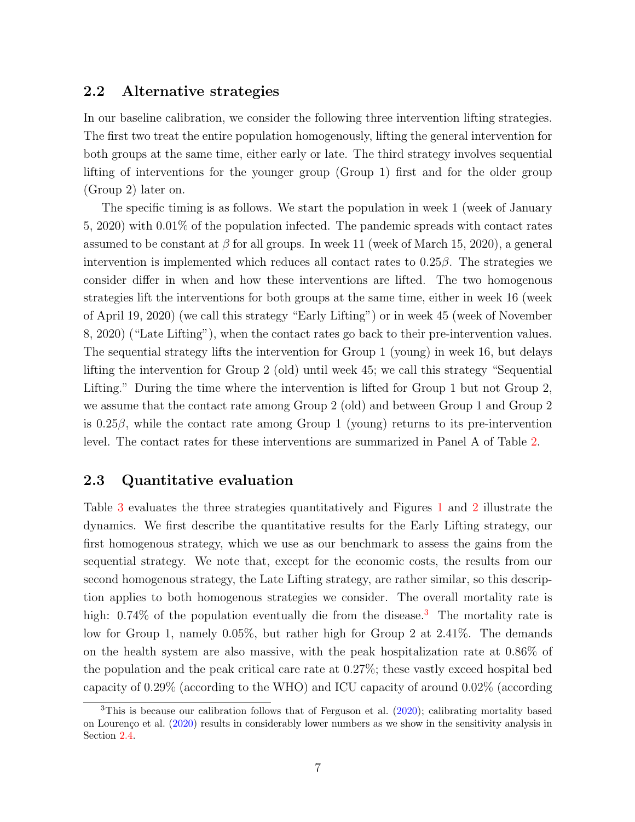### 2.2 Alternative strategies

In our baseline calibration, we consider the following three intervention lifting strategies. The first two treat the entire population homogenously, lifting the general intervention for both groups at the same time, either early or late. The third strategy involves sequential lifting of interventions for the younger group (Group 1) first and for the older group (Group 2) later on.

The specific timing is as follows. We start the population in week 1 (week of January 5, 2020) with 0.01% of the population infected. The pandemic spreads with contact rates assumed to be constant at  $\beta$  for all groups. In week 11 (week of March 15, 2020), a general intervention is implemented which reduces all contact rates to  $0.25\beta$ . The strategies we consider differ in when and how these interventions are lifted. The two homogenous strategies lift the interventions for both groups at the same time, either in week 16 (week of April 19, 2020) (we call this strategy "Early Lifting") or in week 45 (week of November 8, 2020) ("Late Lifting"), when the contact rates go back to their pre-intervention values. The sequential strategy lifts the intervention for Group 1 (young) in week 16, but delays lifting the intervention for Group 2 (old) until week 45; we call this strategy "Sequential Lifting." During the time where the intervention is lifted for Group 1 but not Group 2, we assume that the contact rate among Group 2 (old) and between Group 1 and Group 2 is 0.25 $\beta$ , while the contact rate among Group 1 (young) returns to its pre-intervention level. The contact rates for these interventions are summarized in Panel A of Table [2.](#page-16-0)

## 2.3 Quantitative evaluation

Table [3](#page-17-0) evaluates the three strategies quantitatively and Figures [1](#page-19-0) and [2](#page-20-0) illustrate the dynamics. We first describe the quantitative results for the Early Lifting strategy, our first homogenous strategy, which we use as our benchmark to assess the gains from the sequential strategy. We note that, except for the economic costs, the results from our second homogenous strategy, the Late Lifting strategy, are rather similar, so this description applies to both homogenous strategies we consider. The overall mortality rate is high:  $0.74\%$  of the population eventually die from the disease.<sup>[3](#page-2-0)</sup> The mortality rate is low for Group 1, namely 0.05%, but rather high for Group 2 at 2.41%. The demands on the health system are also massive, with the peak hospitalization rate at 0.86% of the population and the peak critical care rate at 0.27%; these vastly exceed hospital bed capacity of 0.29% (according to the WHO) and ICU capacity of around 0.02% (according

<sup>3</sup>This is because our calibration follows that of Ferguson et al. [\(2020\)](#page-14-0); calibrating mortality based on Lourenço et al. [\(2020\)](#page-14-6) results in considerably lower numbers as we show in the sensitivity analysis in Section [2.4.](#page-10-0)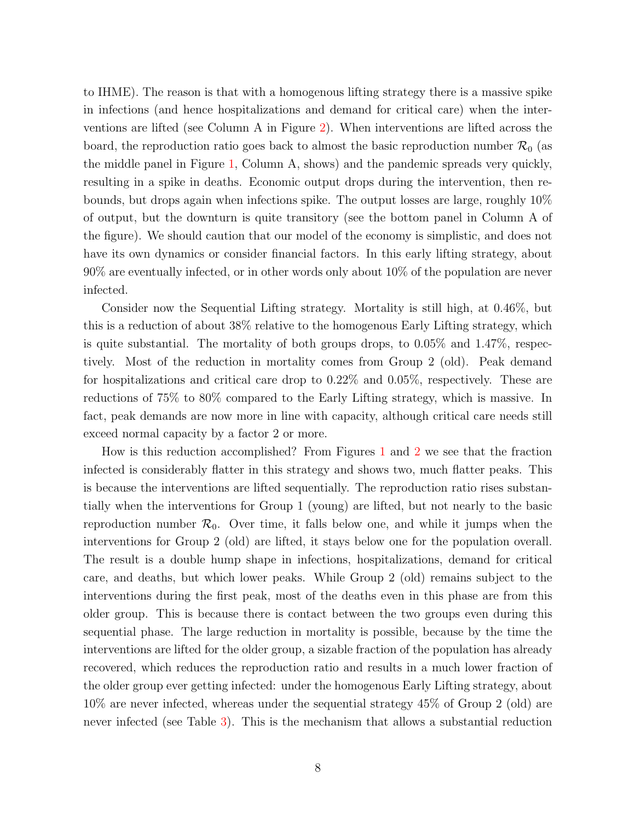to IHME). The reason is that with a homogenous lifting strategy there is a massive spike in infections (and hence hospitalizations and demand for critical care) when the interventions are lifted (see Column A in Figure [2\)](#page-20-0). When interventions are lifted across the board, the reproduction ratio goes back to almost the basic reproduction number  $\mathcal{R}_0$  (as the middle panel in Figure [1,](#page-19-0) Column A, shows) and the pandemic spreads very quickly, resulting in a spike in deaths. Economic output drops during the intervention, then rebounds, but drops again when infections spike. The output losses are large, roughly 10% of output, but the downturn is quite transitory (see the bottom panel in Column A of the figure). We should caution that our model of the economy is simplistic, and does not have its own dynamics or consider financial factors. In this early lifting strategy, about 90% are eventually infected, or in other words only about 10% of the population are never infected.

Consider now the Sequential Lifting strategy. Mortality is still high, at 0.46%, but this is a reduction of about 38% relative to the homogenous Early Lifting strategy, which is quite substantial. The mortality of both groups drops, to 0.05% and 1.47%, respectively. Most of the reduction in mortality comes from Group 2 (old). Peak demand for hospitalizations and critical care drop to 0.22% and 0.05%, respectively. These are reductions of 75% to 80% compared to the Early Lifting strategy, which is massive. In fact, peak demands are now more in line with capacity, although critical care needs still exceed normal capacity by a factor 2 or more.

How is this reduction accomplished? From Figures [1](#page-19-0) and [2](#page-20-0) we see that the fraction infected is considerably flatter in this strategy and shows two, much flatter peaks. This is because the interventions are lifted sequentially. The reproduction ratio rises substantially when the interventions for Group 1 (young) are lifted, but not nearly to the basic reproduction number  $\mathcal{R}_0$ . Over time, it falls below one, and while it jumps when the interventions for Group 2 (old) are lifted, it stays below one for the population overall. The result is a double hump shape in infections, hospitalizations, demand for critical care, and deaths, but which lower peaks. While Group 2 (old) remains subject to the interventions during the first peak, most of the deaths even in this phase are from this older group. This is because there is contact between the two groups even during this sequential phase. The large reduction in mortality is possible, because by the time the interventions are lifted for the older group, a sizable fraction of the population has already recovered, which reduces the reproduction ratio and results in a much lower fraction of the older group ever getting infected: under the homogenous Early Lifting strategy, about 10% are never infected, whereas under the sequential strategy 45% of Group 2 (old) are never infected (see Table [3\)](#page-17-0). This is the mechanism that allows a substantial reduction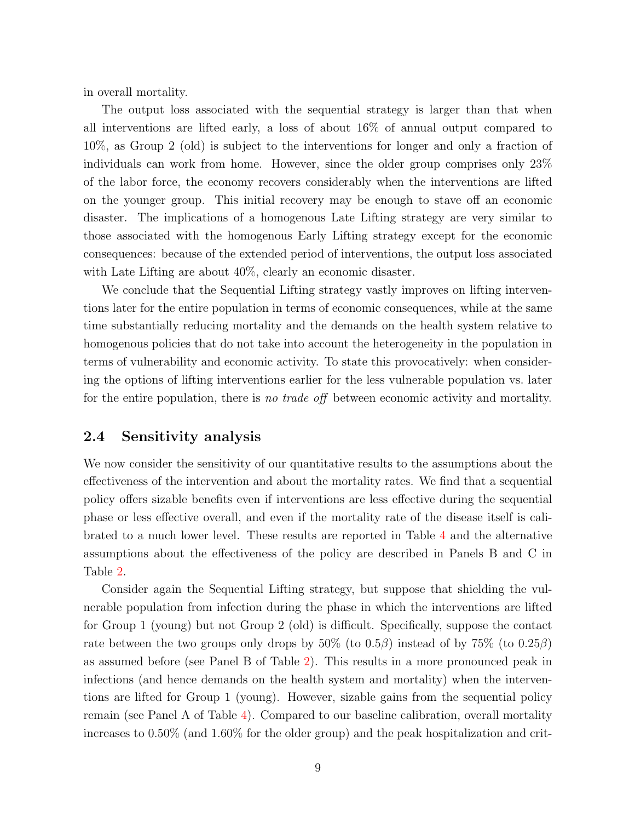in overall mortality.

The output loss associated with the sequential strategy is larger than that when all interventions are lifted early, a loss of about 16% of annual output compared to 10%, as Group 2 (old) is subject to the interventions for longer and only a fraction of individuals can work from home. However, since the older group comprises only 23% of the labor force, the economy recovers considerably when the interventions are lifted on the younger group. This initial recovery may be enough to stave off an economic disaster. The implications of a homogenous Late Lifting strategy are very similar to those associated with the homogenous Early Lifting strategy except for the economic consequences: because of the extended period of interventions, the output loss associated with Late Lifting are about  $40\%$ , clearly an economic disaster.

We conclude that the Sequential Lifting strategy vastly improves on lifting interventions later for the entire population in terms of economic consequences, while at the same time substantially reducing mortality and the demands on the health system relative to homogenous policies that do not take into account the heterogeneity in the population in terms of vulnerability and economic activity. To state this provocatively: when considering the options of lifting interventions earlier for the less vulnerable population vs. later for the entire population, there is no trade of f between economic activity and mortality.

#### <span id="page-10-0"></span>2.4 Sensitivity analysis

We now consider the sensitivity of our quantitative results to the assumptions about the effectiveness of the intervention and about the mortality rates. We find that a sequential policy offers sizable benefits even if interventions are less effective during the sequential phase or less effective overall, and even if the mortality rate of the disease itself is calibrated to a much lower level. These results are reported in Table [4](#page-18-0) and the alternative assumptions about the effectiveness of the policy are described in Panels B and C in Table [2.](#page-16-0)

Consider again the Sequential Lifting strategy, but suppose that shielding the vulnerable population from infection during the phase in which the interventions are lifted for Group 1 (young) but not Group 2 (old) is difficult. Specifically, suppose the contact rate between the two groups only drops by  $50\%$  (to  $0.5\beta$ ) instead of by  $75\%$  (to  $0.25\beta$ ) as assumed before (see Panel B of Table [2\)](#page-16-0). This results in a more pronounced peak in infections (and hence demands on the health system and mortality) when the interventions are lifted for Group 1 (young). However, sizable gains from the sequential policy remain (see Panel A of Table [4\)](#page-18-0). Compared to our baseline calibration, overall mortality increases to 0.50% (and 1.60% for the older group) and the peak hospitalization and crit-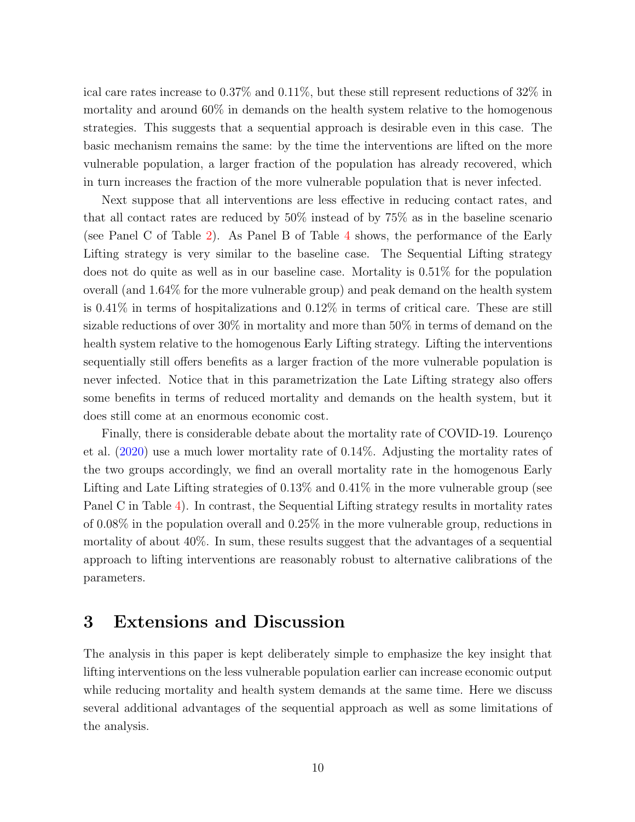ical care rates increase to 0.37% and 0.11%, but these still represent reductions of 32% in mortality and around 60% in demands on the health system relative to the homogenous strategies. This suggests that a sequential approach is desirable even in this case. The basic mechanism remains the same: by the time the interventions are lifted on the more vulnerable population, a larger fraction of the population has already recovered, which in turn increases the fraction of the more vulnerable population that is never infected.

Next suppose that all interventions are less effective in reducing contact rates, and that all contact rates are reduced by 50% instead of by 75% as in the baseline scenario (see Panel C of Table [2\)](#page-16-0). As Panel B of Table [4](#page-18-0) shows, the performance of the Early Lifting strategy is very similar to the baseline case. The Sequential Lifting strategy does not do quite as well as in our baseline case. Mortality is 0.51% for the population overall (and 1.64% for the more vulnerable group) and peak demand on the health system is 0.41% in terms of hospitalizations and 0.12% in terms of critical care. These are still sizable reductions of over 30% in mortality and more than 50% in terms of demand on the health system relative to the homogenous Early Lifting strategy. Lifting the interventions sequentially still offers benefits as a larger fraction of the more vulnerable population is never infected. Notice that in this parametrization the Late Lifting strategy also offers some benefits in terms of reduced mortality and demands on the health system, but it does still come at an enormous economic cost.

Finally, there is considerable debate about the mortality rate of COVID-19. Lourenço et al. [\(2020\)](#page-14-6) use a much lower mortality rate of 0.14%. Adjusting the mortality rates of the two groups accordingly, we find an overall mortality rate in the homogenous Early Lifting and Late Lifting strategies of 0.13% and 0.41% in the more vulnerable group (see Panel C in Table [4\)](#page-18-0). In contrast, the Sequential Lifting strategy results in mortality rates of 0.08% in the population overall and 0.25% in the more vulnerable group, reductions in mortality of about 40%. In sum, these results suggest that the advantages of a sequential approach to lifting interventions are reasonably robust to alternative calibrations of the parameters.

## <span id="page-11-0"></span>3 Extensions and Discussion

The analysis in this paper is kept deliberately simple to emphasize the key insight that lifting interventions on the less vulnerable population earlier can increase economic output while reducing mortality and health system demands at the same time. Here we discuss several additional advantages of the sequential approach as well as some limitations of the analysis.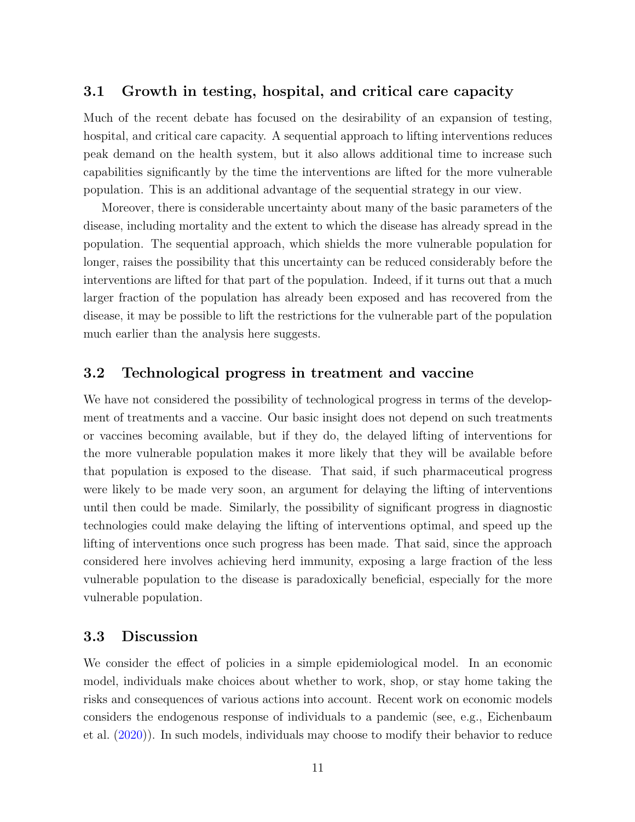### 3.1 Growth in testing, hospital, and critical care capacity

Much of the recent debate has focused on the desirability of an expansion of testing, hospital, and critical care capacity. A sequential approach to lifting interventions reduces peak demand on the health system, but it also allows additional time to increase such capabilities significantly by the time the interventions are lifted for the more vulnerable population. This is an additional advantage of the sequential strategy in our view.

Moreover, there is considerable uncertainty about many of the basic parameters of the disease, including mortality and the extent to which the disease has already spread in the population. The sequential approach, which shields the more vulnerable population for longer, raises the possibility that this uncertainty can be reduced considerably before the interventions are lifted for that part of the population. Indeed, if it turns out that a much larger fraction of the population has already been exposed and has recovered from the disease, it may be possible to lift the restrictions for the vulnerable part of the population much earlier than the analysis here suggests.

## 3.2 Technological progress in treatment and vaccine

We have not considered the possibility of technological progress in terms of the development of treatments and a vaccine. Our basic insight does not depend on such treatments or vaccines becoming available, but if they do, the delayed lifting of interventions for the more vulnerable population makes it more likely that they will be available before that population is exposed to the disease. That said, if such pharmaceutical progress were likely to be made very soon, an argument for delaying the lifting of interventions until then could be made. Similarly, the possibility of significant progress in diagnostic technologies could make delaying the lifting of interventions optimal, and speed up the lifting of interventions once such progress has been made. That said, since the approach considered here involves achieving herd immunity, exposing a large fraction of the less vulnerable population to the disease is paradoxically beneficial, especially for the more vulnerable population.

#### 3.3 Discussion

We consider the effect of policies in a simple epidemiological model. In an economic model, individuals make choices about whether to work, shop, or stay home taking the risks and consequences of various actions into account. Recent work on economic models considers the endogenous response of individuals to a pandemic (see, e.g., Eichenbaum et al. [\(2020\)](#page-14-7)). In such models, individuals may choose to modify their behavior to reduce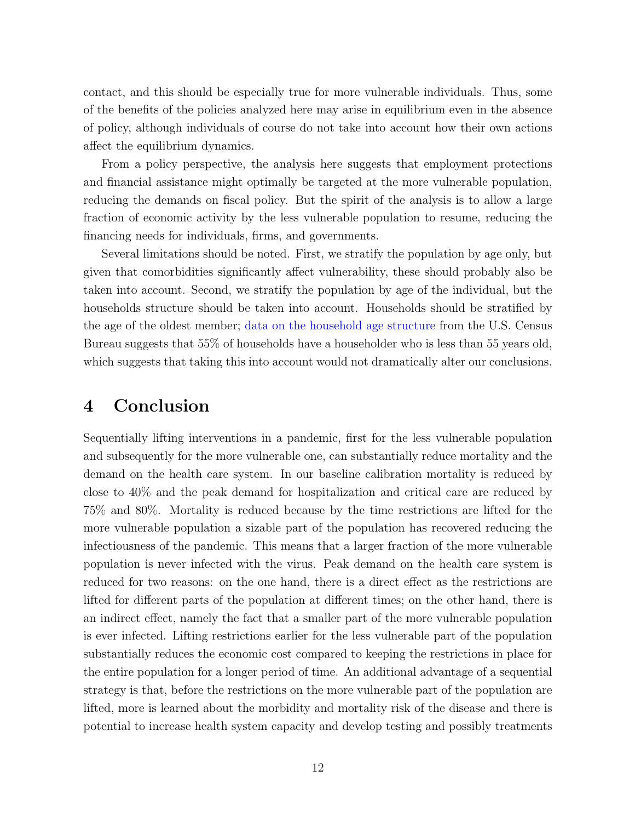contact, and this should be especially true for more vulnerable individuals. Thus, some of the benefits of the policies analyzed here may arise in equilibrium even in the absence of policy, although individuals of course do not take into account how their own actions affect the equilibrium dynamics.

From a policy perspective, the analysis here suggests that employment protections and financial assistance might optimally be targeted at the more vulnerable population, reducing the demands on fiscal policy. But the spirit of the analysis is to allow a large fraction of economic activity by the less vulnerable population to resume, reducing the financing needs for individuals, firms, and governments.

Several limitations should be noted. First, we stratify the population by age only, but given that comorbidities significantly affect vulnerability, these should probably also be taken into account. Second, we stratify the population by age of the individual, but the households structure should be taken into account. Households should be stratified by the age of the oldest member; [data on the household age structure](https://www2.census.gov/programs-surveys/demo/tables/families/time-series/households/hh3.xls) from the U.S. Census Bureau suggests that 55% of households have a householder who is less than 55 years old, which suggests that taking this into account would not dramatically alter our conclusions.

## <span id="page-13-0"></span>4 Conclusion

Sequentially lifting interventions in a pandemic, first for the less vulnerable population and subsequently for the more vulnerable one, can substantially reduce mortality and the demand on the health care system. In our baseline calibration mortality is reduced by close to 40% and the peak demand for hospitalization and critical care are reduced by 75% and 80%. Mortality is reduced because by the time restrictions are lifted for the more vulnerable population a sizable part of the population has recovered reducing the infectiousness of the pandemic. This means that a larger fraction of the more vulnerable population is never infected with the virus. Peak demand on the health care system is reduced for two reasons: on the one hand, there is a direct effect as the restrictions are lifted for different parts of the population at different times; on the other hand, there is an indirect effect, namely the fact that a smaller part of the more vulnerable population is ever infected. Lifting restrictions earlier for the less vulnerable part of the population substantially reduces the economic cost compared to keeping the restrictions in place for the entire population for a longer period of time. An additional advantage of a sequential strategy is that, before the restrictions on the more vulnerable part of the population are lifted, more is learned about the morbidity and mortality risk of the disease and there is potential to increase health system capacity and develop testing and possibly treatments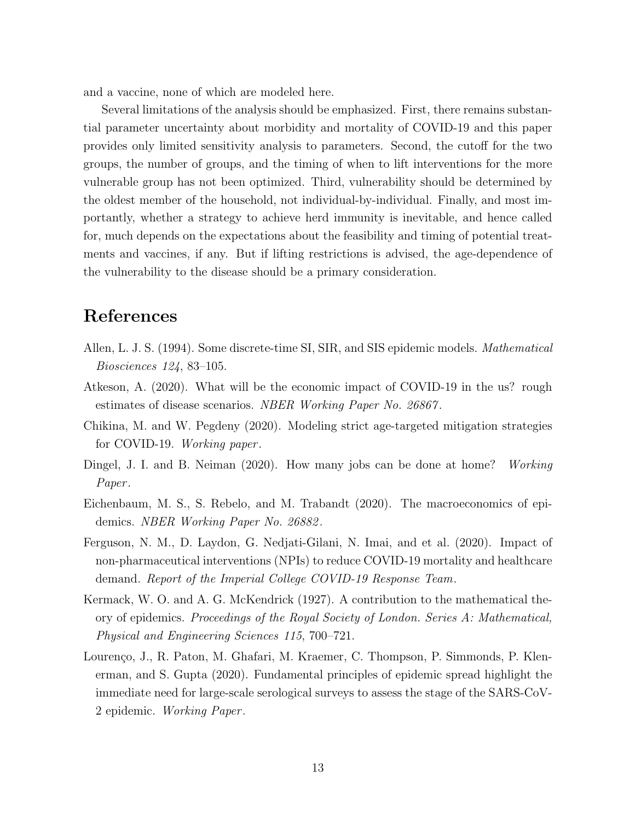and a vaccine, none of which are modeled here.

Several limitations of the analysis should be emphasized. First, there remains substantial parameter uncertainty about morbidity and mortality of COVID-19 and this paper provides only limited sensitivity analysis to parameters. Second, the cutoff for the two groups, the number of groups, and the timing of when to lift interventions for the more vulnerable group has not been optimized. Third, vulnerability should be determined by the oldest member of the household, not individual-by-individual. Finally, and most importantly, whether a strategy to achieve herd immunity is inevitable, and hence called for, much depends on the expectations about the feasibility and timing of potential treatments and vaccines, if any. But if lifting restrictions is advised, the age-dependence of the vulnerability to the disease should be a primary consideration.

## References

- <span id="page-14-3"></span>Allen, L. J. S. (1994). Some discrete-time SI, SIR, and SIS epidemic models. Mathematical Biosciences 124, 83–105.
- <span id="page-14-4"></span>Atkeson, A. (2020). What will be the economic impact of COVID-19 in the us? rough estimates of disease scenarios. NBER Working Paper No. 26867.
- <span id="page-14-2"></span>Chikina, M. and W. Pegdeny (2020). Modeling strict age-targeted mitigation strategies for COVID-19. Working paper .
- <span id="page-14-5"></span>Dingel, J. I. and B. Neiman (2020). How many jobs can be done at home? Working Paper.
- <span id="page-14-7"></span>Eichenbaum, M. S., S. Rebelo, and M. Trabandt (2020). The macroeconomics of epidemics. NBER Working Paper No. 26882 .
- <span id="page-14-0"></span>Ferguson, N. M., D. Laydon, G. Nedjati-Gilani, N. Imai, and et al. (2020). Impact of non-pharmaceutical interventions (NPIs) to reduce COVID-19 mortality and healthcare demand. Report of the Imperial College COVID-19 Response Team.
- <span id="page-14-1"></span>Kermack, W. O. and A. G. McKendrick (1927). A contribution to the mathematical theory of epidemics. Proceedings of the Royal Society of London. Series A: Mathematical, Physical and Engineering Sciences 115, 700–721.
- <span id="page-14-6"></span>Lourenço, J., R. Paton, M. Ghafari, M. Kraemer, C. Thompson, P. Simmonds, P. Klenerman, and S. Gupta (2020). Fundamental principles of epidemic spread highlight the immediate need for large-scale serological surveys to assess the stage of the SARS-CoV-2 epidemic. Working Paper .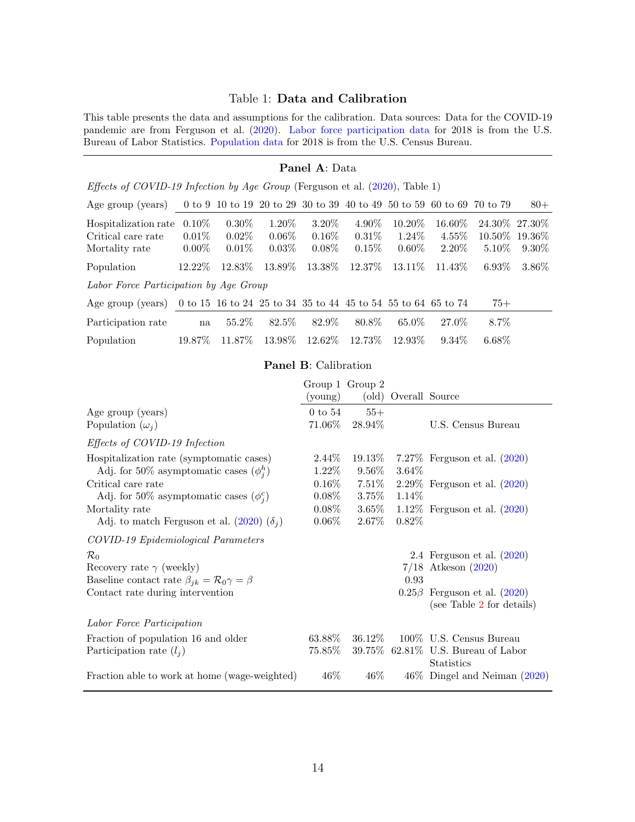### <span id="page-15-0"></span>Table 1: Data and Calibration

This table presents the data and assumptions for the calibration. Data sources: Data for the COVID-19 pandemic are from Ferguson et al. [\(2020\)](#page-14-0). [Labor force participation data](https://www.bls.gov/emp/labor-force/labor-force.xlsx) for 2018 is from the U.S. Bureau of Labor Statistics. [Population data](https://www.census.gov/popclock/) for 2018 is from the U.S. Census Bureau.

#### Panel A: Data

|  |  |  | <i>Effects of COVID-19 Infection by Age Group</i> (Ferguson et al. $(2020)$ , Table 1) |  |
|--|--|--|----------------------------------------------------------------------------------------|--|
|  |  |  |                                                                                        |  |

| Age group (years)                                                               |           |          |          |           |           |           | 0 to 9 10 to 19 20 to 29 30 to 39 40 to 49 50 to 59 60 to 69 70 to 79 |                 | $80+$           |
|---------------------------------------------------------------------------------|-----------|----------|----------|-----------|-----------|-----------|-----------------------------------------------------------------------|-----------------|-----------------|
| Hospitalization rate                                                            | $0.10\%$  | $0.30\%$ | 1.20\%   | $3.20\%$  | 4.90%     | $10.20\%$ | $16.60\%$                                                             | 24.30\% 27.30\% |                 |
| Critical care rate                                                              | $0.01\%$  | $0.02\%$ | $0.06\%$ | $0.16\%$  | $0.31\%$  | $1.24\%$  | $4.55\%$                                                              |                 | 10.50\% 19.36\% |
| Mortality rate                                                                  | $0.00\%$  | $0.01\%$ | $0.03\%$ | $0.08\%$  | $0.15\%$  | $0.60\%$  | $2.20\%$                                                              | $5.10\%$        | $9.30\%$        |
| Population                                                                      | $12.22\%$ | 12.83\%  | 13.89\%  | 13.38%    | $12.37\%$ | 13.11\%   | $11.43\%$                                                             | $6.93\%$        | $3.86\%$        |
| Labor Force Participation by Age Group                                          |           |          |          |           |           |           |                                                                       |                 |                 |
| Age group (years) 0 to 15 16 to 24 25 to 34 35 to 44 45 to 54 55 to 64 65 to 74 |           |          |          |           |           |           |                                                                       | $75+$           |                 |
| Participation rate                                                              | na        | 55.2\%   | 82.5\%   | 82.9%     | 80.8%     | 65.0%     | 27.0%                                                                 | 8.7\%           |                 |
| Population                                                                      | 19.87\%   | 11.87\%  | 13.98%   | $12.62\%$ | 12.73%    | 12.93%    | $9.34\%$                                                              | $6.68\%$        |                 |

#### Panel B: Calibration

|                                                                                                                                                             | (young)               | Group 1 Group 2<br>(old) | Overall Source |                                                                                                 |
|-------------------------------------------------------------------------------------------------------------------------------------------------------------|-----------------------|--------------------------|----------------|-------------------------------------------------------------------------------------------------|
| Age group (years)<br>Population $(\omega_i)$                                                                                                                | $0$ to $54$<br>71.06% | $55+$<br>28.94\%         |                | U.S. Census Bureau                                                                              |
| Effects of COVID-19 Infection                                                                                                                               |                       |                          |                |                                                                                                 |
| Hospitalization rate (symptomatic cases)<br>Adj. for 50% asymptomatic cases $(\phi_i^h)$                                                                    | $2.44\%$<br>1.22%     | 19.13\%<br>$9.56\%$      | 3.64%          | 7.27\% Ferguson et al. $(2020)$                                                                 |
| Critical care rate<br>Adj. for 50% asymptomatic cases $(\phi_i^c)$                                                                                          | $0.16\%$<br>$0.08\%$  | $7.51\%$<br>$3.75\%$     | 1.14\%         | 2.29% Ferguson et al. $(2020)$                                                                  |
| Mortality rate<br>Adj. to match Ferguson et al. (2020) $(\delta_i)$                                                                                         | $0.08\%$<br>$0.06\%$  | $3.65\%$<br>2.67%        | $0.82\%$       | 1.12\% Ferguson et al. $(2020)$                                                                 |
| COVID-19 Epidemiological Parameters                                                                                                                         |                       |                          |                |                                                                                                 |
| $\mathcal{R}_0$<br>Recovery rate $\gamma$ (weekly)<br>Baseline contact rate $\beta_{ik} = \mathcal{R}_0 \gamma = \beta$<br>Contact rate during intervention |                       |                          | 0.93           | 2.4 Ferguson et al. $(2020)$<br>$7/18$ Atkeson $(2020)$<br>$0.25\beta$ Ferguson et al. $(2020)$ |
|                                                                                                                                                             |                       |                          |                | (see Table 2 for details)                                                                       |
| Labor Force Participation                                                                                                                                   |                       |                          |                |                                                                                                 |
| Fraction of population 16 and older<br>Participation rate $(l_i)$                                                                                           | $63.88\%$<br>75.85%   | 36.12\%                  |                | 100\% U.S. Census Bureau<br>39.75% 62.81% U.S. Bureau of Labor<br><b>Statistics</b>             |
| Fraction able to work at home (wage-weighted)                                                                                                               | 46\%                  | $46\%$                   |                | $46\%$ Dingel and Neiman $(2020)$                                                               |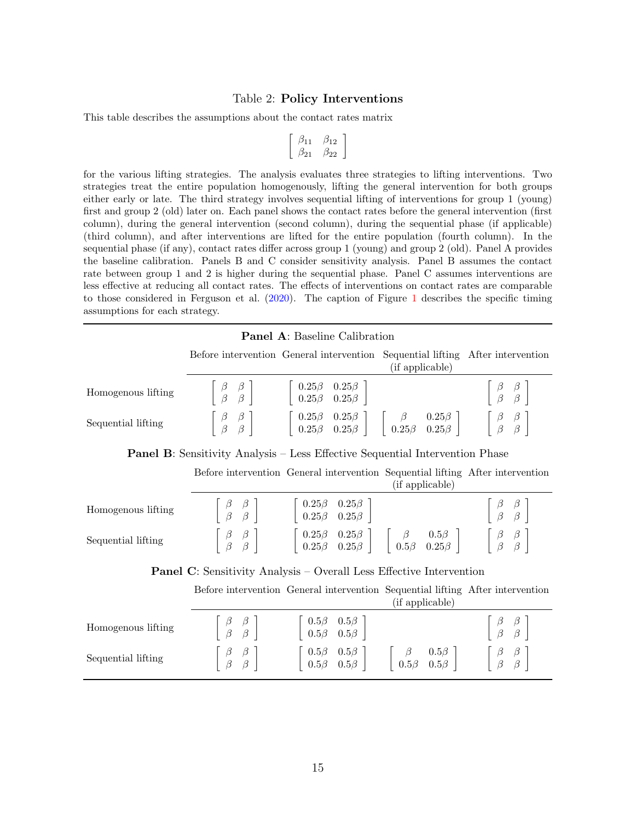#### Table 2: Policy Interventions

This table describes the assumptions about the contact rates matrix

<span id="page-16-0"></span>
$$
\left[\begin{array}{cc} \beta_{11} & \beta_{12} \\ \beta_{21} & \beta_{22} \end{array}\right]
$$

for the various lifting strategies. The analysis evaluates three strategies to lifting interventions. Two strategies treat the entire population homogenously, lifting the general intervention for both groups either early or late. The third strategy involves sequential lifting of interventions for group 1 (young) first and group 2 (old) later on. Each panel shows the contact rates before the general intervention (first column), during the general intervention (second column), during the sequential phase (if applicable) (third column), and after interventions are lifted for the entire population (fourth column). In the sequential phase (if any), contact rates differ across group 1 (young) and group 2 (old). Panel A provides the baseline calibration. Panels B and C consider sensitivity analysis. Panel B assumes the contact rate between group 1 and 2 is higher during the sequential phase. Panel C assumes interventions are less effective at reducing all contact rates. The effects of interventions on contact rates are comparable to those considered in Ferguson et al. [\(2020\)](#page-14-0). The caption of Figure [1](#page-19-0) describes the specific timing assumptions for each strategy.

| <b>Panel A:</b> Baseline Calibration                                                |                                                                            |                                                                                                                                                                                                                                                                                                                                        |                 |                                                                |  |  |  |  |
|-------------------------------------------------------------------------------------|----------------------------------------------------------------------------|----------------------------------------------------------------------------------------------------------------------------------------------------------------------------------------------------------------------------------------------------------------------------------------------------------------------------------------|-----------------|----------------------------------------------------------------|--|--|--|--|
|                                                                                     |                                                                            | Before intervention General intervention Sequential lifting After intervention                                                                                                                                                                                                                                                         | (if applicable) |                                                                |  |  |  |  |
| Homogenous lifting                                                                  |                                                                            | $\left[\begin{array}{cc} \beta & \beta \\ \beta & \beta \end{array}\right] \qquad \left[\begin{array}{cc} 0.25\beta & 0.25\beta \\ 0.25\beta & 0.25\beta \end{array}\right].$                                                                                                                                                          |                 | $\begin{vmatrix} \beta & \beta \\ \beta & \beta \end{vmatrix}$ |  |  |  |  |
| Sequential lifting                                                                  |                                                                            | $\begin{bmatrix} \beta & \beta \\ \beta & \beta \end{bmatrix}$ $\begin{bmatrix} 0.25\beta & 0.25\beta \\ 0.25\beta & 0.25\beta \end{bmatrix}$ $\begin{bmatrix} \beta & 0.25\beta \\ 0.25\beta & 0.25\beta \end{bmatrix}$ $\begin{bmatrix} \beta & \beta \\ \beta & \beta \end{bmatrix}$                                                |                 |                                                                |  |  |  |  |
| <b>Panel B:</b> Sensitivity Analysis – Less Effective Sequential Intervention Phase |                                                                            |                                                                                                                                                                                                                                                                                                                                        |                 |                                                                |  |  |  |  |
|                                                                                     |                                                                            | Before intervention General intervention Sequential lifting After intervention                                                                                                                                                                                                                                                         | (if applicable) |                                                                |  |  |  |  |
| Homogenous lifting                                                                  |                                                                            | $\begin{array}{ c c c c c } \hline \beta & \beta & \beta \ \hline \beta & \beta & \end{array} \hspace{1cm} \begin{array}{ c c c c } \hline 0.25\beta & 0.25\beta \ \hline 0.25\beta & 0.25\beta \end{array}$                                                                                                                           |                 | $\begin{array}{c} \beta \ \beta \\ \beta \ \beta \end{array}$  |  |  |  |  |
| Sequential lifting                                                                  |                                                                            | $\begin{bmatrix} \beta & \beta \\ \beta & \beta \end{bmatrix}$ $\begin{bmatrix} 0.25\beta & 0.25\beta \\ 0.25\beta & 0.25\beta \end{bmatrix}$ $\begin{bmatrix} \beta & 0.5\beta \\ 0.5\beta & 0.25\beta \end{bmatrix}$ $\begin{bmatrix} \beta & \beta \\ \beta & \beta \end{bmatrix}$                                                  |                 |                                                                |  |  |  |  |
|                                                                                     | <b>Panel C:</b> Sensitivity Analysis – Overall Less Effective Intervention |                                                                                                                                                                                                                                                                                                                                        |                 |                                                                |  |  |  |  |
|                                                                                     |                                                                            | Before intervention General intervention Sequential lifting After intervention                                                                                                                                                                                                                                                         | (if applicable) |                                                                |  |  |  |  |
| Homogenous lifting                                                                  |                                                                            | $\left[\begin{array}{cc} \beta & \beta \\ \beta & \beta \end{array}\right] \qquad \left[\begin{array}{cc} 0.5\beta & 0.5\beta \\ 0.5\beta & 0.5\beta \end{array}\right]$                                                                                                                                                               |                 |                                                                |  |  |  |  |
| Sequential lifting                                                                  |                                                                            | $\left[\begin{array}{c}\beta & \beta \ \beta & \beta\end{array}\right] \qquad \left[\begin{array}{cc}0.5\beta & 0.5\beta \ 0.5\beta & 0.5\beta\end{array}\right] \qquad \left[\begin{array}{cc}\beta & 0.5\beta \ 0.5\beta & 0.5\beta\end{array}\right] \qquad \left[\begin{array}{cc}\beta & \beta \ \beta & \beta\end{array}\right]$ |                 |                                                                |  |  |  |  |
|                                                                                     |                                                                            |                                                                                                                                                                                                                                                                                                                                        |                 |                                                                |  |  |  |  |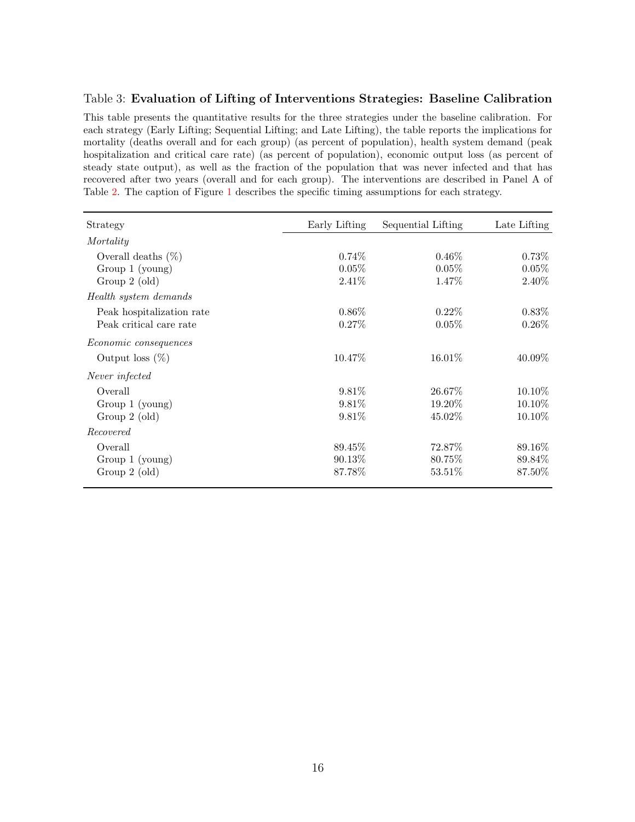#### <span id="page-17-0"></span>Table 3: Evaluation of Lifting of Interventions Strategies: Baseline Calibration

This table presents the quantitative results for the three strategies under the baseline calibration. For each strategy (Early Lifting; Sequential Lifting; and Late Lifting), the table reports the implications for mortality (deaths overall and for each group) (as percent of population), health system demand (peak hospitalization and critical care rate) (as percent of population), economic output loss (as percent of steady state output), as well as the fraction of the population that was never infected and that has recovered after two years (overall and for each group). The interventions are described in Panel A of Table [2.](#page-16-0) The caption of Figure [1](#page-19-0) describes the specific timing assumptions for each strategy.

| Strategy                     | Early Lifting | Sequential Lifting | Late Lifting |
|------------------------------|---------------|--------------------|--------------|
| Mortality                    |               |                    |              |
| Overall deaths $(\%)$        | $0.74\%$      | $0.46\%$           | $0.73\%$     |
| Group $1$ (young)            | 0.05%         | $0.05\%$           | 0.05%        |
| Group 2 (old)                | 2.41%         | 1.47%              | 2.40%        |
| Health system demands        |               |                    |              |
| Peak hospitalization rate    | $0.86\%$      | $0.22\%$           | $0.83\%$     |
| Peak critical care rate      | 0.27%         | $0.05\%$           | $0.26\%$     |
| <i>Economic consequences</i> |               |                    |              |
| Output loss $(\%)$           | 10.47%        | 16.01\%            | $40.09\%$    |
| Never infected               |               |                    |              |
| Overall                      | $9.81\%$      | 26.67\%            | $10.10\%$    |
| Group 1 (young)              | $9.81\%$      | 19.20\%            | 10.10%       |
| Group $2$ (old)              | 9.81\%        | 45.02%             | 10.10%       |
| Recovered                    |               |                    |              |
| Overall                      | 89.45\%       | 72.87\%            | 89.16\%      |
| Group 1 (young)              | 90.13%        | 80.75%             | 89.84%       |
| Group $2$ (old)              | 87.78%        | 53.51\%            | 87.50%       |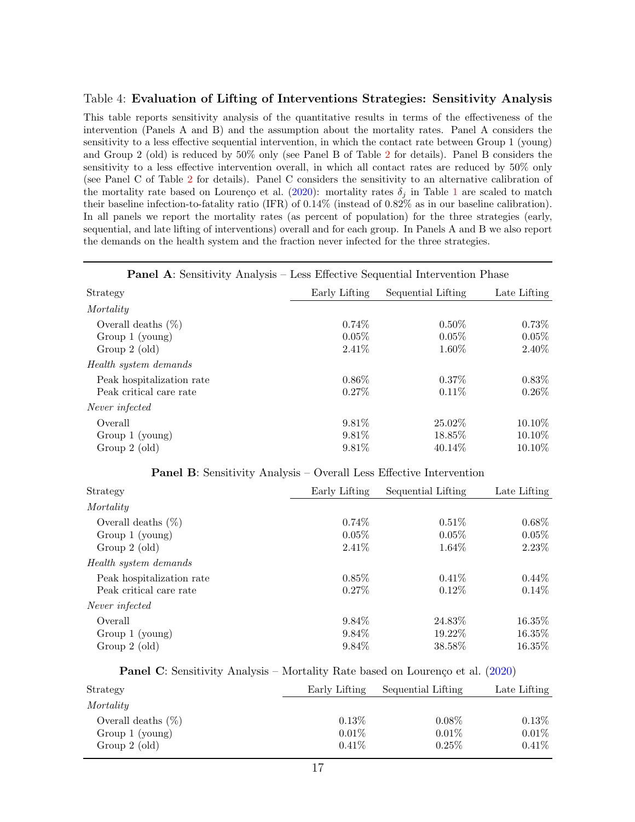#### <span id="page-18-0"></span>Table 4: Evaluation of Lifting of Interventions Strategies: Sensitivity Analysis

This table reports sensitivity analysis of the quantitative results in terms of the effectiveness of the intervention (Panels A and B) and the assumption about the mortality rates. Panel A considers the sensitivity to a less effective sequential intervention, in which the contact rate between Group 1 (young) and Group 2 (old) is reduced by 50% only (see Panel B of Table [2](#page-16-0) for details). Panel B considers the sensitivity to a less effective intervention overall, in which all contact rates are reduced by 50% only (see Panel C of Table [2](#page-16-0) for details). Panel C considers the sensitivity to an alternative calibration of the mortality rate based on Lourenço et al. [\(2020\)](#page-14-6): mortality rates  $\delta_i$  in Table [1](#page-15-0) are scaled to match their baseline infection-to-fatality ratio (IFR) of 0.14% (instead of 0.82% as in our baseline calibration). In all panels we report the mortality rates (as percent of population) for the three strategies (early, sequential, and late lifting of interventions) overall and for each group. In Panels A and B we also report the demands on the health system and the fraction never infected for the three strategies.

## Panel A: Sensitivity Analysis – Less Effective Sequential Intervention Phase Strategy Early Lifting Sequential Lifting Late Lifting **Mortality** Overall deaths  $(\%)$  0.74% 0.50% 0.73% 0.73% Group 1 (young)  $0.05\%$  0.05% 0.05% 0.05% Group 2 (old) 2.41% 2.41% 1.60% 2.40% Health system demands Peak hospitalization rate  $0.86\%$   $0.37\%$   $0.83\%$ Peak critical care rate  $0.27\%$   $0.11\%$   $0.26\%$ Never infected  $\text{Overall}$  and  $9.81\%$   $25.02\%$   $10.10\%$ Group 1 (young)  $9.81\%$  18.85% 10.10% Group 2 (old)  $9.81\%$   $40.14\%$   $10.10\%$

| $\mathrm{d}$ )                                                             | 9.81\% | 40.14\% |
|----------------------------------------------------------------------------|--------|---------|
| <b>Panel B:</b> Sensitivity Analysis – Overall Less Effective Intervention |        |         |

| Strategy                  | Early Lifting | Sequential Lifting | Late Lifting |
|---------------------------|---------------|--------------------|--------------|
| Mortality                 |               |                    |              |
| Overall deaths $(\%)$     | $0.74\%$      | $0.51\%$           | $0.68\%$     |
| Group $1$ (young)         | $0.05\%$      | $0.05\%$           | 0.05%        |
| Group $2$ (old)           | $2.41\%$      | $1.64\%$           | 2.23%        |
| Health system demands     |               |                    |              |
| Peak hospitalization rate | $0.85\%$      | $0.41\%$           | $0.44\%$     |
| Peak critical care rate   | $0.27\%$      | $0.12\%$           | $0.14\%$     |
| Never infected            |               |                    |              |
| Overall                   | 9.84\%        | 24.83\%            | 16.35%       |
| Group $1$ (young)         | $9.84\%$      | 19.22\%            | 16.35%       |
| Group $2$ (old)           | 9.84\%        | 38.58%             | 16.35\%      |

**Panel C**: Sensitivity Analysis – Mortality Rate based on Lourenço et al. [\(2020\)](#page-14-6)

| Strategy              | Early Lifting | Sequential Lifting | Late Lifting |
|-----------------------|---------------|--------------------|--------------|
| Mortality             |               |                    |              |
| Overall deaths $(\%)$ | $0.13\%$      | $0.08\%$           | $0.13\%$     |
| Group 1 (young)       | $0.01\%$      | $0.01\%$           | $0.01\%$     |
| Group $2$ (old)       | $0.41\%$      | $0.25\%$           | $0.41\%$     |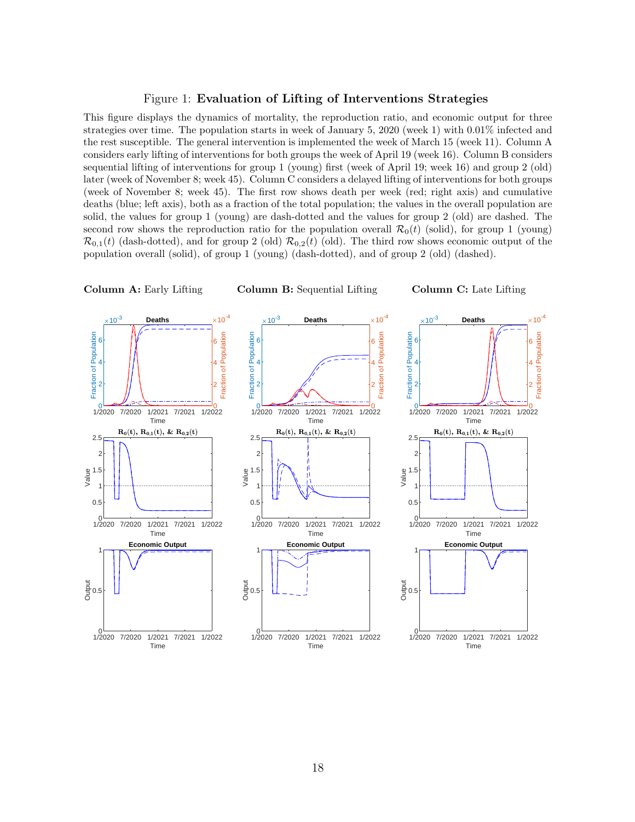#### <span id="page-19-0"></span>Figure 1: Evaluation of Lifting of Interventions Strategies

This figure displays the dynamics of mortality, the reproduction ratio, and economic output for three strategies over time. The population starts in week of January 5, 2020 (week 1) with 0.01% infected and the rest susceptible. The general intervention is implemented the week of March 15 (week 11). Column A considers early lifting of interventions for both groups the week of April 19 (week 16). Column B considers sequential lifting of interventions for group 1 (young) first (week of April 19; week 16) and group 2 (old) later (week of November 8; week 45). Column C considers a delayed lifting of interventions for both groups (week of November 8; week 45). The first row shows death per week (red; right axis) and cumulative deaths (blue; left axis), both as a fraction of the total population; the values in the overall population are solid, the values for group 1 (young) are dash-dotted and the values for group 2 (old) are dashed. The second row shows the reproduction ratio for the population overall  $\mathcal{R}_0(t)$  (solid), for group 1 (young)  $\mathcal{R}_{0,1}(t)$  (dash-dotted), and for group 2 (old)  $\mathcal{R}_{0,2}(t)$  (old). The third row shows economic output of the population overall (solid), of group 1 (young) (dash-dotted), and of group 2 (old) (dashed).

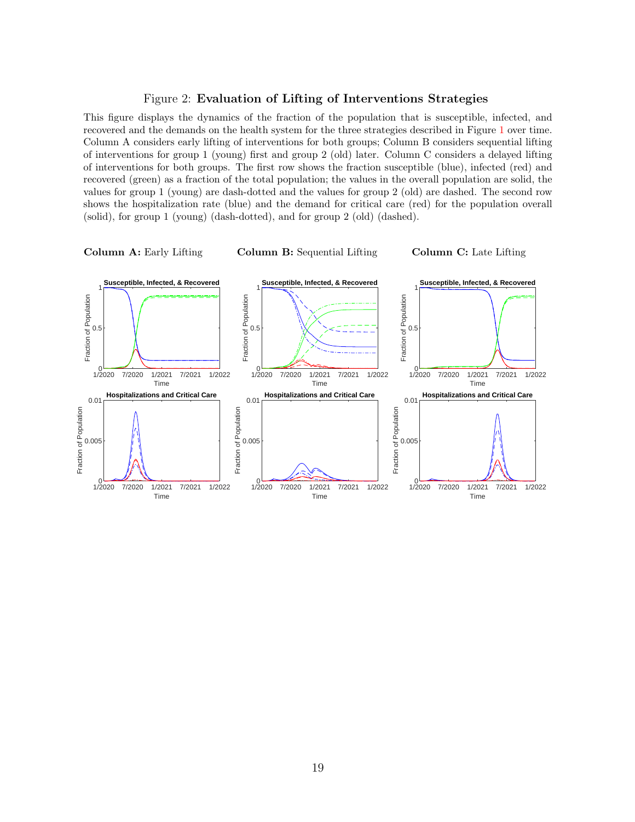#### <span id="page-20-0"></span>Figure 2: Evaluation of Lifting of Interventions Strategies

This figure displays the dynamics of the fraction of the population that is susceptible, infected, and recovered and the demands on the health system for the three strategies described in Figure [1](#page-19-0) over time. Column A considers early lifting of interventions for both groups; Column B considers sequential lifting of interventions for group 1 (young) first and group 2 (old) later. Column C considers a delayed lifting of interventions for both groups. The first row shows the fraction susceptible (blue), infected (red) and recovered (green) as a fraction of the total population; the values in the overall population are solid, the values for group 1 (young) are dash-dotted and the values for group 2 (old) are dashed. The second row shows the hospitalization rate (blue) and the demand for critical care (red) for the population overall (solid), for group 1 (young) (dash-dotted), and for group 2 (old) (dashed).